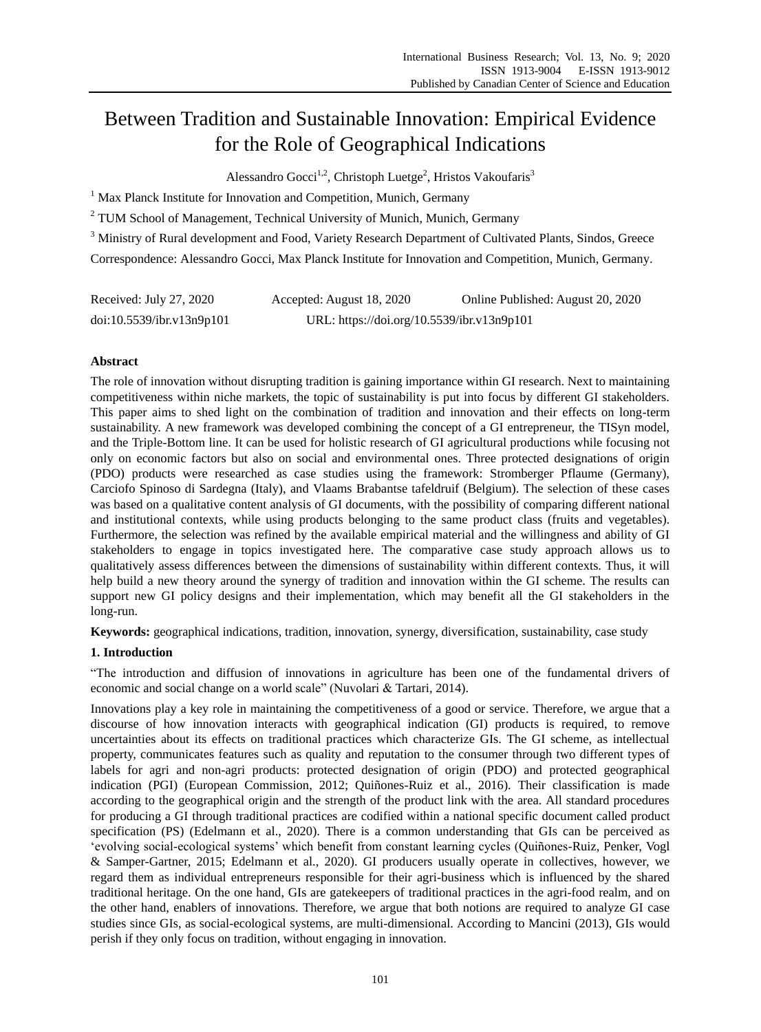# Between Tradition and Sustainable Innovation: Empirical Evidence for the Role of Geographical Indications

Alessandro Gocci<sup>1,2</sup>, Christoph Luetge<sup>2</sup>, Hristos Vakoufaris<sup>3</sup>

 $1$  Max Planck Institute for Innovation and Competition, Munich, Germany

<sup>2</sup> TUM School of Management, Technical University of Munich, Munich, Germany

<sup>3</sup> Ministry of Rural development and Food, Variety Research Department of Cultivated Plants, Sindos, Greece Correspondence: Alessandro Gocci, Max Planck Institute for Innovation and Competition, Munich, Germany.

| Received: July 27, 2020   | Accepted: August 18, 2020                  | Online Published: August 20, 2020 |
|---------------------------|--------------------------------------------|-----------------------------------|
| doi:10.5539/ibr.v13n9p101 | URL: https://doi.org/10.5539/ibr.v13n9p101 |                                   |

# **Abstract**

The role of innovation without disrupting tradition is gaining importance within GI research. Next to maintaining competitiveness within niche markets, the topic of sustainability is put into focus by different GI stakeholders. This paper aims to shed light on the combination of tradition and innovation and their effects on long-term sustainability. A new framework was developed combining the concept of a GI entrepreneur, the TISyn model, and the Triple-Bottom line. It can be used for holistic research of GI agricultural productions while focusing not only on economic factors but also on social and environmental ones. Three protected designations of origin (PDO) products were researched as case studies using the framework: Stromberger Pflaume (Germany), Carciofo Spinoso di Sardegna (Italy), and Vlaams Brabantse tafeldruif (Belgium). The selection of these cases was based on a qualitative content analysis of GI documents, with the possibility of comparing different national and institutional contexts, while using products belonging to the same product class (fruits and vegetables). Furthermore, the selection was refined by the available empirical material and the willingness and ability of GI stakeholders to engage in topics investigated here. The comparative case study approach allows us to qualitatively assess differences between the dimensions of sustainability within different contexts. Thus, it will help build a new theory around the synergy of tradition and innovation within the GI scheme. The results can support new GI policy designs and their implementation, which may benefit all the GI stakeholders in the long-run.

**Keywords:** geographical indications, tradition, innovation, synergy, diversification, sustainability, case study

# **1. Introduction**

"The introduction and diffusion of innovations in agriculture has been one of the fundamental drivers of economic and social change on a world scale" (Nuvolari & Tartari, 2014).

Innovations play a key role in maintaining the competitiveness of a good or service. Therefore, we argue that a discourse of how innovation interacts with geographical indication (GI) products is required, to remove uncertainties about its effects on traditional practices which characterize GIs. The GI scheme, as intellectual property, communicates features such as quality and reputation to the consumer through two different types of labels for agri and non-agri products: protected designation of origin (PDO) and protected geographical indication (PGI) (European Commission, 2012; Quiñones-Ruiz et al., 2016). Their classification is made according to the geographical origin and the strength of the product link with the area. All standard procedures for producing a GI through traditional practices are codified within a national specific document called product specification (PS) (Edelmann et al., 2020). There is a common understanding that GIs can be perceived as "evolving social-ecological systems" which benefit from constant learning cycles (Quiñones-Ruiz, Penker, Vogl & Samper-Gartner, 2015; Edelmann et al., 2020). GI producers usually operate in collectives, however, we regard them as individual entrepreneurs responsible for their agri-business which is influenced by the shared traditional heritage. On the one hand, GIs are gatekeepers of traditional practices in the agri-food realm, and on the other hand, enablers of innovations. Therefore, we argue that both notions are required to analyze GI case studies since GIs, as social-ecological systems, are multi-dimensional. According to Mancini (2013), GIs would perish if they only focus on tradition, without engaging in innovation.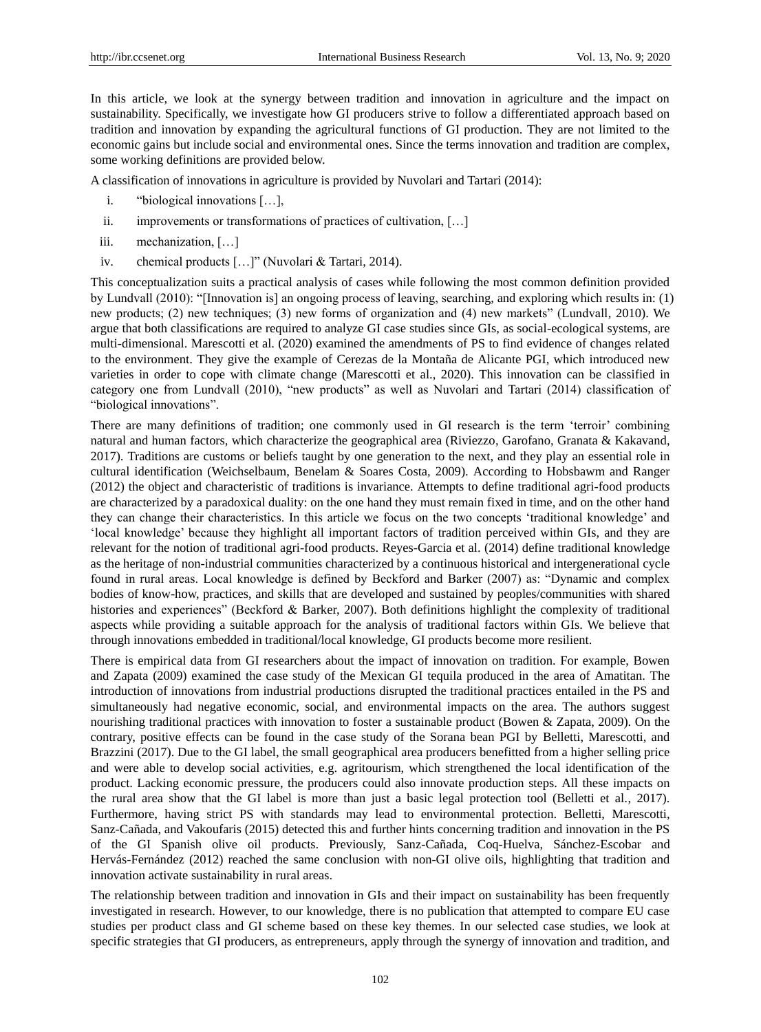In this article, we look at the synergy between tradition and innovation in agriculture and the impact on sustainability. Specifically, we investigate how GI producers strive to follow a differentiated approach based on tradition and innovation by expanding the agricultural functions of GI production. They are not limited to the economic gains but include social and environmental ones. Since the terms innovation and tradition are complex, some working definitions are provided below.

A classification of innovations in agriculture is provided by Nuvolari and Tartari (2014):

- i. "biological innovations […],
- ii. improvements or transformations of practices of cultivation, […]
- iii. mechanization, […]
- iv. chemical products […]" (Nuvolari & Tartari, 2014).

This conceptualization suits a practical analysis of cases while following the most common definition provided by Lundvall (2010): "[Innovation is] an ongoing process of leaving, searching, and exploring which results in: (1) new products; (2) new techniques; (3) new forms of organization and (4) new markets" (Lundvall, 2010). We argue that both classifications are required to analyze GI case studies since GIs, as social-ecological systems, are multi-dimensional. Marescotti et al. (2020) examined the amendments of PS to find evidence of changes related to the environment. They give the example of Cerezas de la Montaña de Alicante PGI, which introduced new varieties in order to cope with climate change (Marescotti et al., 2020). This innovation can be classified in category one from Lundvall (2010), "new products" as well as Nuvolari and Tartari (2014) classification of "biological innovations".

There are many definitions of tradition; one commonly used in GI research is the term "terroir" combining natural and human factors, which characterize the geographical area (Riviezzo, Garofano, Granata & Kakavand, 2017). Traditions are customs or beliefs taught by one generation to the next, and they play an essential role in cultural identification (Weichselbaum, Benelam & Soares Costa, 2009). According to Hobsbawm and Ranger (2012) the object and characteristic of traditions is invariance. Attempts to define traditional agri-food products are characterized by a paradoxical duality: on the one hand they must remain fixed in time, and on the other hand they can change their characteristics. In this article we focus on the two concepts "traditional knowledge" and "local knowledge" because they highlight all important factors of tradition perceived within GIs, and they are relevant for the notion of traditional agri-food products. Reyes-Garcia et al. (2014) define traditional knowledge as the heritage of non-industrial communities characterized by a continuous historical and intergenerational cycle found in rural areas. Local knowledge is defined by Beckford and Barker (2007) as: "Dynamic and complex bodies of know-how, practices, and skills that are developed and sustained by peoples/communities with shared histories and experiences" (Beckford & Barker, 2007). Both definitions highlight the complexity of traditional aspects while providing a suitable approach for the analysis of traditional factors within GIs. We believe that through innovations embedded in traditional/local knowledge, GI products become more resilient.

There is empirical data from GI researchers about the impact of innovation on tradition. For example, Bowen and Zapata (2009) examined the case study of the Mexican GI tequila produced in the area of Amatitan. The introduction of innovations from industrial productions disrupted the traditional practices entailed in the PS and simultaneously had negative economic, social, and environmental impacts on the area. The authors suggest nourishing traditional practices with innovation to foster a sustainable product (Bowen & Zapata, 2009). On the contrary, positive effects can be found in the case study of the Sorana bean PGI by Belletti, Marescotti, and Brazzini (2017). Due to the GI label, the small geographical area producers benefitted from a higher selling price and were able to develop social activities, e.g. agritourism, which strengthened the local identification of the product. Lacking economic pressure, the producers could also innovate production steps. All these impacts on the rural area show that the GI label is more than just a basic legal protection tool (Belletti et al., 2017). Furthermore, having strict PS with standards may lead to environmental protection. Belletti, Marescotti, Sanz-Cañada, and Vakoufaris (2015) detected this and further hints concerning tradition and innovation in the PS of the GI Spanish olive oil products. Previously, Sanz-Cañada, Coq-Huelva, Sánchez-Escobar and Hervás-Fernández (2012) reached the same conclusion with non-GI olive oils, highlighting that tradition and innovation activate sustainability in rural areas.

The relationship between tradition and innovation in GIs and their impact on sustainability has been frequently investigated in research. However, to our knowledge, there is no publication that attempted to compare EU case studies per product class and GI scheme based on these key themes. In our selected case studies, we look at specific strategies that GI producers, as entrepreneurs, apply through the synergy of innovation and tradition, and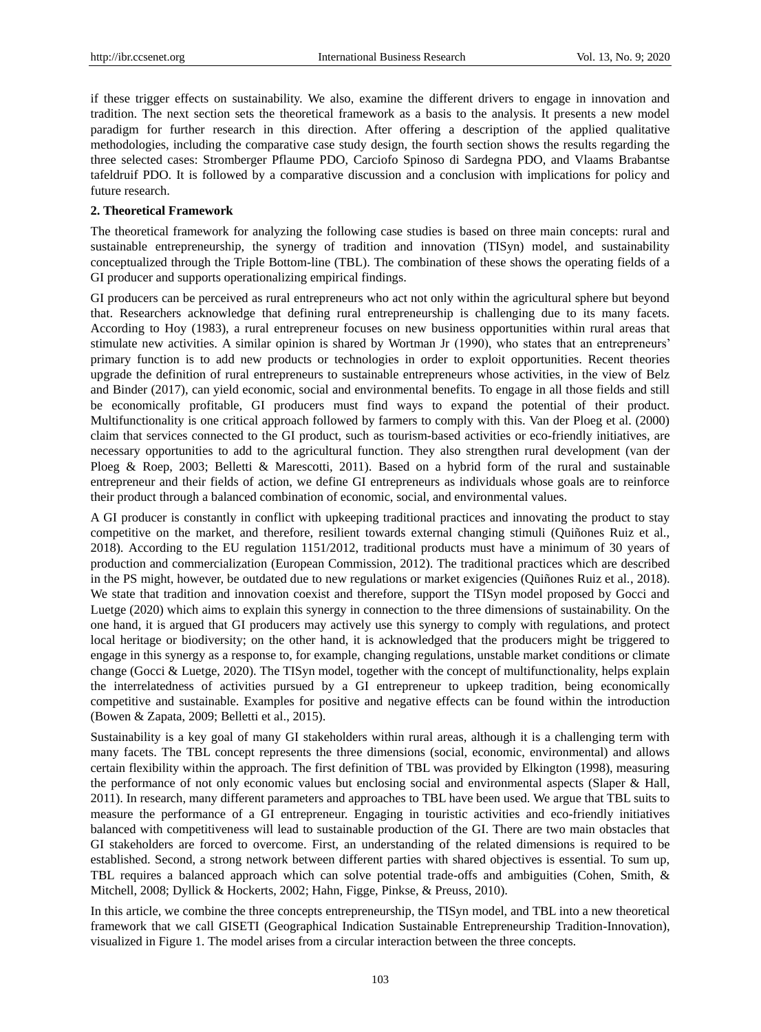if these trigger effects on sustainability. We also, examine the different drivers to engage in innovation and tradition. The next section sets the theoretical framework as a basis to the analysis. It presents a new model paradigm for further research in this direction. After offering a description of the applied qualitative methodologies, including the comparative case study design, the fourth section shows the results regarding the three selected cases: Stromberger Pflaume PDO, Carciofo Spinoso di Sardegna PDO, and Vlaams Brabantse tafeldruif PDO. It is followed by a comparative discussion and a conclusion with implications for policy and future research.

## **2. Theoretical Framework**

The theoretical framework for analyzing the following case studies is based on three main concepts: rural and sustainable entrepreneurship, the synergy of tradition and innovation (TISyn) model, and sustainability conceptualized through the Triple Bottom-line (TBL). The combination of these shows the operating fields of a GI producer and supports operationalizing empirical findings.

GI producers can be perceived as rural entrepreneurs who act not only within the agricultural sphere but beyond that. Researchers acknowledge that defining rural entrepreneurship is challenging due to its many facets. According to Hoy (1983), a rural entrepreneur focuses on new business opportunities within rural areas that stimulate new activities. A similar opinion is shared by Wortman Jr (1990), who states that an entrepreneurs' primary function is to add new products or technologies in order to exploit opportunities. Recent theories upgrade the definition of rural entrepreneurs to sustainable entrepreneurs whose activities, in the view of Belz and Binder (2017), can yield economic, social and environmental benefits. To engage in all those fields and still be economically profitable, GI producers must find ways to expand the potential of their product. Multifunctionality is one critical approach followed by farmers to comply with this. Van der Ploeg et al. (2000) claim that services connected to the GI product, such as tourism-based activities or eco-friendly initiatives, are necessary opportunities to add to the agricultural function. They also strengthen rural development (van der Ploeg & Roep, 2003; Belletti & Marescotti, 2011). Based on a hybrid form of the rural and sustainable entrepreneur and their fields of action, we define GI entrepreneurs as individuals whose goals are to reinforce their product through a balanced combination of economic, social, and environmental values.

A GI producer is constantly in conflict with upkeeping traditional practices and innovating the product to stay competitive on the market, and therefore, resilient towards external changing stimuli (Quiñones Ruiz et al., 2018). According to the EU regulation 1151/2012, traditional products must have a minimum of 30 years of production and commercialization (European Commission, 2012). The traditional practices which are described in the PS might, however, be outdated due to new regulations or market exigencies (Quiñones Ruiz et al., 2018). We state that tradition and innovation coexist and therefore, support the TISyn model proposed by Gocci and Luetge (2020) which aims to explain this synergy in connection to the three dimensions of sustainability. On the one hand, it is argued that GI producers may actively use this synergy to comply with regulations, and protect local heritage or biodiversity; on the other hand, it is acknowledged that the producers might be triggered to engage in this synergy as a response to, for example, changing regulations, unstable market conditions or climate change (Gocci & Luetge, 2020). The TISyn model, together with the concept of multifunctionality, helps explain the interrelatedness of activities pursued by a GI entrepreneur to upkeep tradition, being economically competitive and sustainable. Examples for positive and negative effects can be found within the introduction (Bowen & Zapata, 2009; Belletti et al., 2015).

Sustainability is a key goal of many GI stakeholders within rural areas, although it is a challenging term with many facets. The TBL concept represents the three dimensions (social, economic, environmental) and allows certain flexibility within the approach. The first definition of TBL was provided by Elkington (1998), measuring the performance of not only economic values but enclosing social and environmental aspects (Slaper & Hall, 2011). In research, many different parameters and approaches to TBL have been used. We argue that TBL suits to measure the performance of a GI entrepreneur. Engaging in touristic activities and eco-friendly initiatives balanced with competitiveness will lead to sustainable production of the GI. There are two main obstacles that GI stakeholders are forced to overcome. First, an understanding of the related dimensions is required to be established. Second, a strong network between different parties with shared objectives is essential. To sum up, TBL requires a balanced approach which can solve potential trade-offs and ambiguities (Cohen, Smith, & Mitchell, 2008; Dyllick & Hockerts, 2002; Hahn, Figge, Pinkse, & Preuss, 2010).

In this article, we combine the three concepts entrepreneurship, the TISyn model, and TBL into a new theoretical framework that we call GISETI (Geographical Indication Sustainable Entrepreneurship Tradition-Innovation), visualized in Figure 1. The model arises from a circular interaction between the three concepts.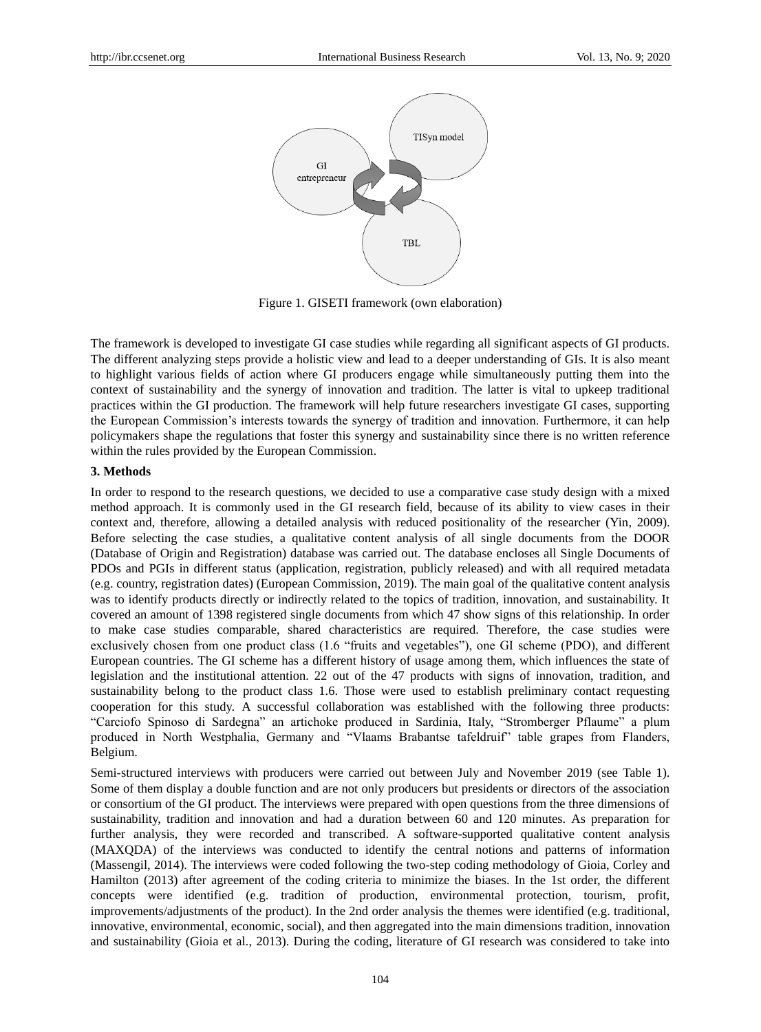

Figure 1. GISETI framework (own elaboration)

The framework is developed to investigate GI case studies while regarding all significant aspects of GI products. The different analyzing steps provide a holistic view and lead to a deeper understanding of GIs. It is also meant to highlight various fields of action where GI producers engage while simultaneously putting them into the context of sustainability and the synergy of innovation and tradition. The latter is vital to upkeep traditional practices within the GI production. The framework will help future researchers investigate GI cases, supporting the European Commission"s interests towards the synergy of tradition and innovation. Furthermore, it can help policymakers shape the regulations that foster this synergy and sustainability since there is no written reference within the rules provided by the European Commission.

## **3. Methods**

In order to respond to the research questions, we decided to use a comparative case study design with a mixed method approach. It is commonly used in the GI research field, because of its ability to view cases in their context and, therefore, allowing a detailed analysis with reduced positionality of the researcher (Yin, 2009). Before selecting the case studies, a qualitative content analysis of all single documents from the DOOR (Database of Origin and Registration) database was carried out. The database encloses all Single Documents of PDOs and PGIs in different status (application, registration, publicly released) and with all required metadata (e.g. country, registration dates) (European Commission, 2019). The main goal of the qualitative content analysis was to identify products directly or indirectly related to the topics of tradition, innovation, and sustainability. It covered an amount of 1398 registered single documents from which 47 show signs of this relationship. In order to make case studies comparable, shared characteristics are required. Therefore, the case studies were exclusively chosen from one product class (1.6 "fruits and vegetables"), one GI scheme (PDO), and different European countries. The GI scheme has a different history of usage among them, which influences the state of legislation and the institutional attention. 22 out of the 47 products with signs of innovation, tradition, and sustainability belong to the product class 1.6. Those were used to establish preliminary contact requesting cooperation for this study. A successful collaboration was established with the following three products: "Carciofo Spinoso di Sardegna" an artichoke produced in Sardinia, Italy, "Stromberger Pflaume" a plum produced in North Westphalia, Germany and "Vlaams Brabantse tafeldruif" table grapes from Flanders, Belgium.

Semi-structured interviews with producers were carried out between July and November 2019 (see Table 1). Some of them display a double function and are not only producers but presidents or directors of the association or consortium of the GI product. The interviews were prepared with open questions from the three dimensions of sustainability, tradition and innovation and had a duration between 60 and 120 minutes. As preparation for further analysis, they were recorded and transcribed. A software-supported qualitative content analysis (MAXQDA) of the interviews was conducted to identify the central notions and patterns of information (Massengil, 2014). The interviews were coded following the two-step coding methodology of Gioia, Corley and Hamilton (2013) after agreement of the coding criteria to minimize the biases. In the 1st order, the different concepts were identified (e.g. tradition of production, environmental protection, tourism, profit, improvements/adjustments of the product). In the 2nd order analysis the themes were identified (e.g. traditional, innovative, environmental, economic, social), and then aggregated into the main dimensions tradition, innovation and sustainability (Gioia et al., 2013). During the coding, literature of GI research was considered to take into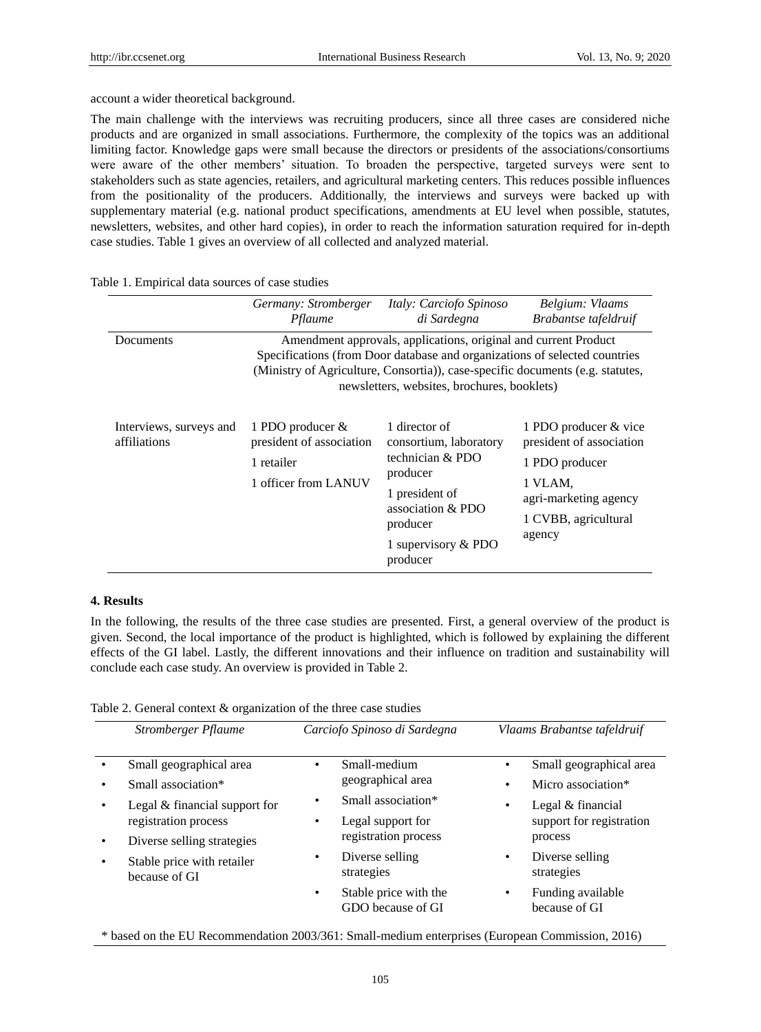account a wider theoretical background.

The main challenge with the interviews was recruiting producers, since all three cases are considered niche products and are organized in small associations. Furthermore, the complexity of the topics was an additional limiting factor. Knowledge gaps were small because the directors or presidents of the associations/consortiums were aware of the other members" situation. To broaden the perspective, targeted surveys were sent to stakeholders such as state agencies, retailers, and agricultural marketing centers. This reduces possible influences from the positionality of the producers. Additionally, the interviews and surveys were backed up with supplementary material (e.g. national product specifications, amendments at EU level when possible, statutes, newsletters, websites, and other hard copies), in order to reach the information saturation required for in-depth case studies. Table 1 gives an overview of all collected and analyzed material.

|                                         | Germany: Stromberger<br>Pflaume                                                                                                                                                                                                                                                | Italy: Carciofo Spinoso<br>di Sardegna                                                                                                                          | Belgium: Vlaams<br>Brabantse tafeldruif                                                                                                   |
|-----------------------------------------|--------------------------------------------------------------------------------------------------------------------------------------------------------------------------------------------------------------------------------------------------------------------------------|-----------------------------------------------------------------------------------------------------------------------------------------------------------------|-------------------------------------------------------------------------------------------------------------------------------------------|
| Documents                               | Amendment approvals, applications, original and current Product<br>Specifications (from Door database and organizations of selected countries<br>(Ministry of Agriculture, Consortia)), case-specific documents (e.g. statutes,<br>newsletters, websites, brochures, booklets) |                                                                                                                                                                 |                                                                                                                                           |
| Interviews, surveys and<br>affiliations | 1 PDO producer $\&$<br>president of association<br>1 retailer<br>1 officer from LANUV                                                                                                                                                                                          | 1 director of<br>consortium, laboratory<br>technician & PDO<br>producer<br>1 president of<br>association $& PDO$<br>producer<br>1 supervisory & PDO<br>producer | 1 PDO producer & vice<br>president of association<br>1 PDO producer<br>1 VLAM,<br>agri-marketing agency<br>1 CVBB, agricultural<br>agency |

## Table 1. Empirical data sources of case studies

## **4. Results**

In the following, the results of the three case studies are presented. First, a general overview of the product is given. Second, the local importance of the product is highlighted, which is followed by explaining the different effects of the GI label. Lastly, the different innovations and their influence on tradition and sustainability will conclude each case study. An overview is provided in Table 2.

|  | Table 2. General context & organization of the three case studies |
|--|-------------------------------------------------------------------|
|--|-------------------------------------------------------------------|

| Stromberger Pflaume                                                       | Carciofo Spinoso di Sardegna                                    | Vlaams Brabantse tafeldruif                              |
|---------------------------------------------------------------------------|-----------------------------------------------------------------|----------------------------------------------------------|
| Small geographical area                                                   | Small-medium<br>$\bullet$                                       | Small geographical area<br>٠                             |
| Small association*                                                        | geographical area                                               | Micro association*                                       |
| Legal & financial support for<br>registration process                     | Small association*<br>Legal support for<br>registration process | Legal & financial<br>support for registration<br>process |
| Diverse selling strategies<br>Stable price with retailer<br>because of GI | Diverse selling<br>٠<br>strategies                              | Diverse selling<br>strategies                            |
|                                                                           | Stable price with the<br>$\bullet$<br>GDO because of GI         | Funding available<br>because of GI                       |

\* based on the EU Recommendation 2003/361: Small-medium enterprises (European Commission, 2016)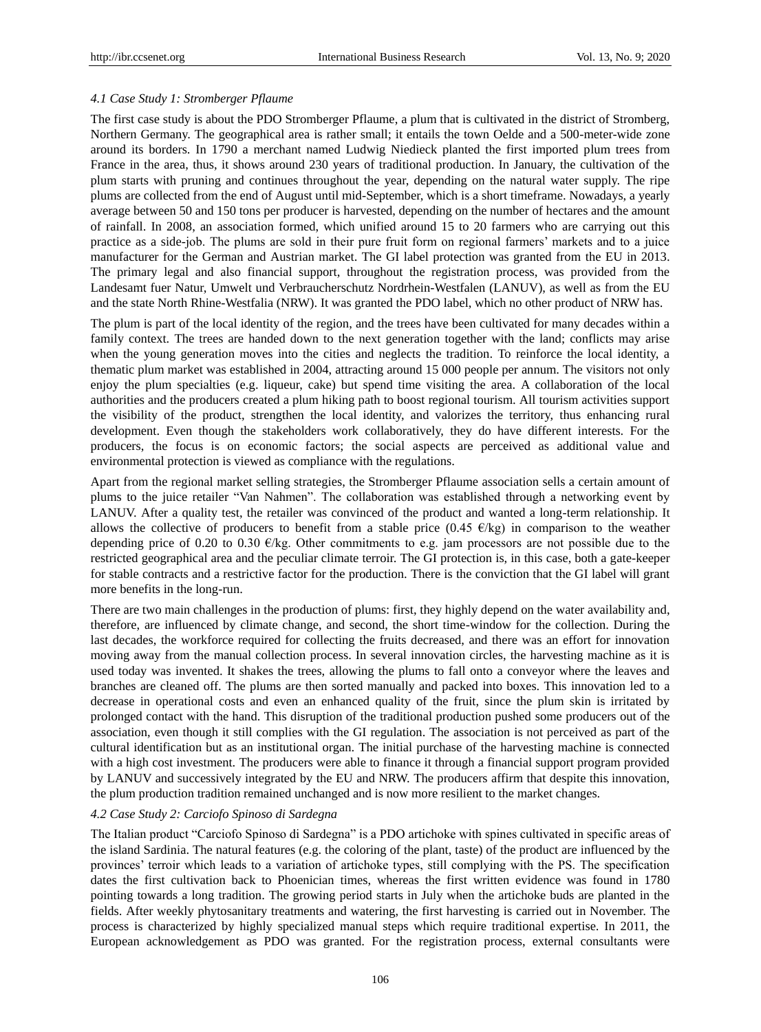## *4.1 Case Study 1: Stromberger Pflaume*

The first case study is about the PDO Stromberger Pflaume, a plum that is cultivated in the district of Stromberg, Northern Germany. The geographical area is rather small; it entails the town Oelde and a 500-meter-wide zone around its borders. In 1790 a merchant named Ludwig Niedieck planted the first imported plum trees from France in the area, thus, it shows around 230 years of traditional production. In January, the cultivation of the plum starts with pruning and continues throughout the year, depending on the natural water supply. The ripe plums are collected from the end of August until mid-September, which is a short timeframe. Nowadays, a yearly average between 50 and 150 tons per producer is harvested, depending on the number of hectares and the amount of rainfall. In 2008, an association formed, which unified around 15 to 20 farmers who are carrying out this practice as a side-job. The plums are sold in their pure fruit form on regional farmers" markets and to a juice manufacturer for the German and Austrian market. The GI label protection was granted from the EU in 2013. The primary legal and also financial support, throughout the registration process, was provided from the Landesamt fuer Natur, Umwelt und Verbraucherschutz Nordrhein-Westfalen (LANUV), as well as from the EU and the state North Rhine-Westfalia (NRW). It was granted the PDO label, which no other product of NRW has.

The plum is part of the local identity of the region, and the trees have been cultivated for many decades within a family context. The trees are handed down to the next generation together with the land; conflicts may arise when the young generation moves into the cities and neglects the tradition. To reinforce the local identity, a thematic plum market was established in 2004, attracting around 15 000 people per annum. The visitors not only enjoy the plum specialties (e.g. liqueur, cake) but spend time visiting the area. A collaboration of the local authorities and the producers created a plum hiking path to boost regional tourism. All tourism activities support the visibility of the product, strengthen the local identity, and valorizes the territory, thus enhancing rural development. Even though the stakeholders work collaboratively, they do have different interests. For the producers, the focus is on economic factors; the social aspects are perceived as additional value and environmental protection is viewed as compliance with the regulations.

Apart from the regional market selling strategies, the Stromberger Pflaume association sells a certain amount of plums to the juice retailer "Van Nahmen". The collaboration was established through a networking event by LANUV. After a quality test, the retailer was convinced of the product and wanted a long-term relationship. It allows the collective of producers to benefit from a stable price (0.45  $\epsilon$ /kg) in comparison to the weather depending price of 0.20 to 0.30  $\epsilon$ /kg. Other commitments to e.g. jam processors are not possible due to the restricted geographical area and the peculiar climate terroir. The GI protection is, in this case, both a gate-keeper for stable contracts and a restrictive factor for the production. There is the conviction that the GI label will grant more benefits in the long-run.

There are two main challenges in the production of plums: first, they highly depend on the water availability and, therefore, are influenced by climate change, and second, the short time-window for the collection. During the last decades, the workforce required for collecting the fruits decreased, and there was an effort for innovation moving away from the manual collection process. In several innovation circles, the harvesting machine as it is used today was invented. It shakes the trees, allowing the plums to fall onto a conveyor where the leaves and branches are cleaned off. The plums are then sorted manually and packed into boxes. This innovation led to a decrease in operational costs and even an enhanced quality of the fruit, since the plum skin is irritated by prolonged contact with the hand. This disruption of the traditional production pushed some producers out of the association, even though it still complies with the GI regulation. The association is not perceived as part of the cultural identification but as an institutional organ. The initial purchase of the harvesting machine is connected with a high cost investment. The producers were able to finance it through a financial support program provided by LANUV and successively integrated by the EU and NRW. The producers affirm that despite this innovation, the plum production tradition remained unchanged and is now more resilient to the market changes.

#### *4.2 Case Study 2: Carciofo Spinoso di Sardegna*

The Italian product "Carciofo Spinoso di Sardegna" is a PDO artichoke with spines cultivated in specific areas of the island Sardinia. The natural features (e.g. the coloring of the plant, taste) of the product are influenced by the provinces" terroir which leads to a variation of artichoke types, still complying with the PS. The specification dates the first cultivation back to Phoenician times, whereas the first written evidence was found in 1780 pointing towards a long tradition. The growing period starts in July when the artichoke buds are planted in the fields. After weekly phytosanitary treatments and watering, the first harvesting is carried out in November. The process is characterized by highly specialized manual steps which require traditional expertise. In 2011, the European acknowledgement as PDO was granted. For the registration process, external consultants were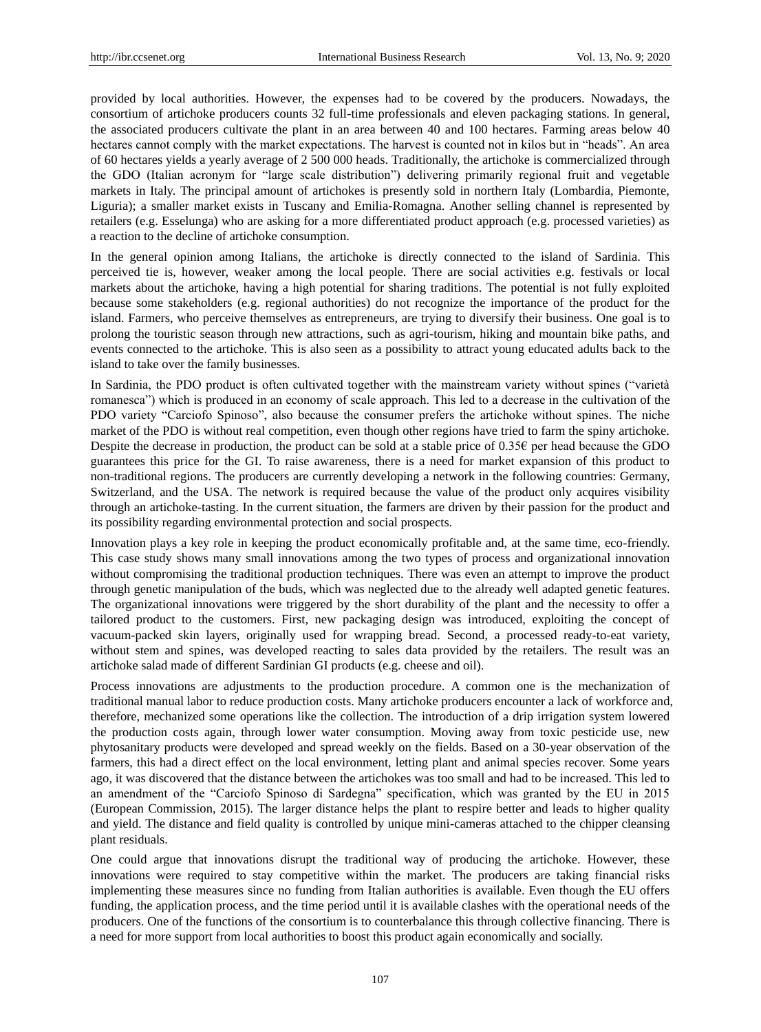provided by local authorities. However, the expenses had to be covered by the producers. Nowadays, the consortium of artichoke producers counts 32 full-time professionals and eleven packaging stations. In general, the associated producers cultivate the plant in an area between 40 and 100 hectares. Farming areas below 40 hectares cannot comply with the market expectations. The harvest is counted not in kilos but in "heads". An area of 60 hectares yields a yearly average of 2 500 000 heads. Traditionally, the artichoke is commercialized through the GDO (Italian acronym for "large scale distribution") delivering primarily regional fruit and vegetable markets in Italy. The principal amount of artichokes is presently sold in northern Italy (Lombardia, Piemonte, Liguria); a smaller market exists in Tuscany and Emilia-Romagna. Another selling channel is represented by retailers (e.g. Esselunga) who are asking for a more differentiated product approach (e.g. processed varieties) as a reaction to the decline of artichoke consumption.

In the general opinion among Italians, the artichoke is directly connected to the island of Sardinia. This perceived tie is, however, weaker among the local people. There are social activities e.g. festivals or local markets about the artichoke, having a high potential for sharing traditions. The potential is not fully exploited because some stakeholders (e.g. regional authorities) do not recognize the importance of the product for the island. Farmers, who perceive themselves as entrepreneurs, are trying to diversify their business. One goal is to prolong the touristic season through new attractions, such as agri-tourism, hiking and mountain bike paths, and events connected to the artichoke. This is also seen as a possibility to attract young educated adults back to the island to take over the family businesses.

In Sardinia, the PDO product is often cultivated together with the mainstream variety without spines ("varietà romanesca") which is produced in an economy of scale approach. This led to a decrease in the cultivation of the PDO variety "Carciofo Spinoso", also because the consumer prefers the artichoke without spines. The niche market of the PDO is without real competition, even though other regions have tried to farm the spiny artichoke. Despite the decrease in production, the product can be sold at a stable price of 0.35€ per head because the GDO guarantees this price for the GI. To raise awareness, there is a need for market expansion of this product to non-traditional regions. The producers are currently developing a network in the following countries: Germany, Switzerland, and the USA. The network is required because the value of the product only acquires visibility through an artichoke-tasting. In the current situation, the farmers are driven by their passion for the product and its possibility regarding environmental protection and social prospects.

Innovation plays a key role in keeping the product economically profitable and, at the same time, eco-friendly. This case study shows many small innovations among the two types of process and organizational innovation without compromising the traditional production techniques. There was even an attempt to improve the product through genetic manipulation of the buds, which was neglected due to the already well adapted genetic features. The organizational innovations were triggered by the short durability of the plant and the necessity to offer a tailored product to the customers. First, new packaging design was introduced, exploiting the concept of vacuum-packed skin layers, originally used for wrapping bread. Second, a processed ready-to-eat variety, without stem and spines, was developed reacting to sales data provided by the retailers. The result was an artichoke salad made of different Sardinian GI products (e.g. cheese and oil).

Process innovations are adjustments to the production procedure. A common one is the mechanization of traditional manual labor to reduce production costs. Many artichoke producers encounter a lack of workforce and, therefore, mechanized some operations like the collection. The introduction of a drip irrigation system lowered the production costs again, through lower water consumption. Moving away from toxic pesticide use, new phytosanitary products were developed and spread weekly on the fields. Based on a 30-year observation of the farmers, this had a direct effect on the local environment, letting plant and animal species recover. Some years ago, it was discovered that the distance between the artichokes was too small and had to be increased. This led to an amendment of the "Carciofo Spinoso di Sardegna" specification, which was granted by the EU in 2015 (European Commission, 2015). The larger distance helps the plant to respire better and leads to higher quality and yield. The distance and field quality is controlled by unique mini-cameras attached to the chipper cleansing plant residuals.

One could argue that innovations disrupt the traditional way of producing the artichoke. However, these innovations were required to stay competitive within the market. The producers are taking financial risks implementing these measures since no funding from Italian authorities is available. Even though the EU offers funding, the application process, and the time period until it is available clashes with the operational needs of the producers. One of the functions of the consortium is to counterbalance this through collective financing. There is a need for more support from local authorities to boost this product again economically and socially.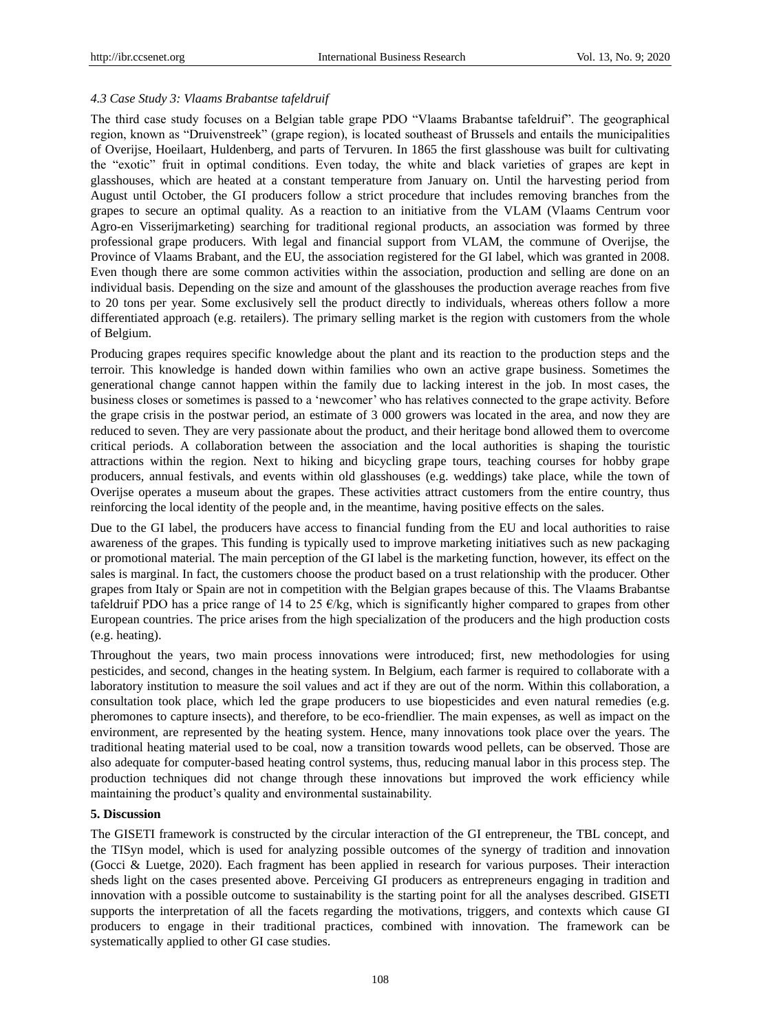## *4.3 Case Study 3: Vlaams Brabantse tafeldruif*

The third case study focuses on a Belgian table grape PDO "Vlaams Brabantse tafeldruif". The geographical region, known as "Druivenstreek" (grape region), is located southeast of Brussels and entails the municipalities of Overijse, Hoeilaart, Huldenberg, and parts of Tervuren. In 1865 the first glasshouse was built for cultivating the "exotic" fruit in optimal conditions. Even today, the white and black varieties of grapes are kept in glasshouses, which are heated at a constant temperature from January on. Until the harvesting period from August until October, the GI producers follow a strict procedure that includes removing branches from the grapes to secure an optimal quality. As a reaction to an initiative from the VLAM (Vlaams Centrum voor Agro-en Visserijmarketing) searching for traditional regional products, an association was formed by three professional grape producers. With legal and financial support from VLAM, the commune of Overijse, the Province of Vlaams Brabant, and the EU, the association registered for the GI label, which was granted in 2008. Even though there are some common activities within the association, production and selling are done on an individual basis. Depending on the size and amount of the glasshouses the production average reaches from five to 20 tons per year. Some exclusively sell the product directly to individuals, whereas others follow a more differentiated approach (e.g. retailers). The primary selling market is the region with customers from the whole of Belgium.

Producing grapes requires specific knowledge about the plant and its reaction to the production steps and the terroir. This knowledge is handed down within families who own an active grape business. Sometimes the generational change cannot happen within the family due to lacking interest in the job. In most cases, the business closes or sometimes is passed to a "newcomer" who has relatives connected to the grape activity. Before the grape crisis in the postwar period, an estimate of 3 000 growers was located in the area, and now they are reduced to seven. They are very passionate about the product, and their heritage bond allowed them to overcome critical periods. A collaboration between the association and the local authorities is shaping the touristic attractions within the region. Next to hiking and bicycling grape tours, teaching courses for hobby grape producers, annual festivals, and events within old glasshouses (e.g. weddings) take place, while the town of Overijse operates a museum about the grapes. These activities attract customers from the entire country, thus reinforcing the local identity of the people and, in the meantime, having positive effects on the sales.

Due to the GI label, the producers have access to financial funding from the EU and local authorities to raise awareness of the grapes. This funding is typically used to improve marketing initiatives such as new packaging or promotional material. The main perception of the GI label is the marketing function, however, its effect on the sales is marginal. In fact, the customers choose the product based on a trust relationship with the producer. Other grapes from Italy or Spain are not in competition with the Belgian grapes because of this. The Vlaams Brabantse tafeldruif PDO has a price range of 14 to 25  $\epsilon$ /kg, which is significantly higher compared to grapes from other European countries. The price arises from the high specialization of the producers and the high production costs (e.g. heating).

Throughout the years, two main process innovations were introduced; first, new methodologies for using pesticides, and second, changes in the heating system. In Belgium, each farmer is required to collaborate with a laboratory institution to measure the soil values and act if they are out of the norm. Within this collaboration, a consultation took place, which led the grape producers to use biopesticides and even natural remedies (e.g. pheromones to capture insects), and therefore, to be eco-friendlier. The main expenses, as well as impact on the environment, are represented by the heating system. Hence, many innovations took place over the years. The traditional heating material used to be coal, now a transition towards wood pellets, can be observed. Those are also adequate for computer-based heating control systems, thus, reducing manual labor in this process step. The production techniques did not change through these innovations but improved the work efficiency while maintaining the product"s quality and environmental sustainability.

## **5. Discussion**

The GISETI framework is constructed by the circular interaction of the GI entrepreneur, the TBL concept, and the TISyn model, which is used for analyzing possible outcomes of the synergy of tradition and innovation (Gocci & Luetge, 2020). Each fragment has been applied in research for various purposes. Their interaction sheds light on the cases presented above. Perceiving GI producers as entrepreneurs engaging in tradition and innovation with a possible outcome to sustainability is the starting point for all the analyses described. GISETI supports the interpretation of all the facets regarding the motivations, triggers, and contexts which cause GI producers to engage in their traditional practices, combined with innovation. The framework can be systematically applied to other GI case studies.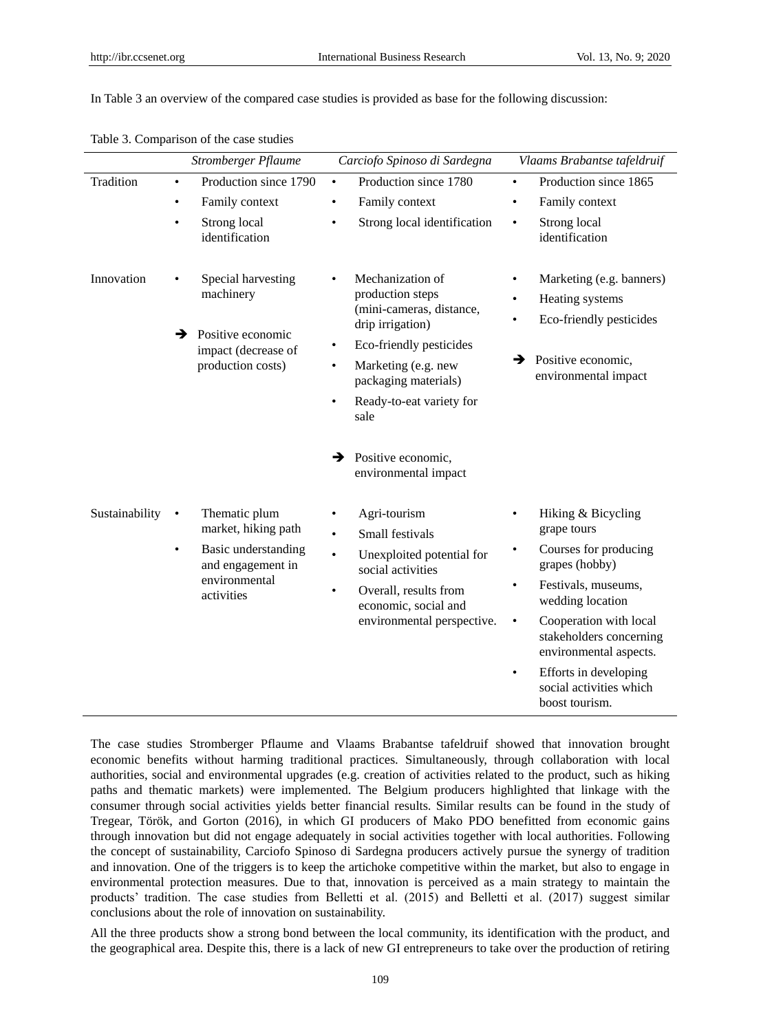In Table 3 an overview of the compared case studies is provided as base for the following discussion:

|                | Stromberger Pflaume                                                                                                                       | Carciofo Spinoso di Sardegna                                                                                                                                                                                         | Vlaams Brabantse tafeldruif                                                                                                                                                                                                                                                                                                                   |
|----------------|-------------------------------------------------------------------------------------------------------------------------------------------|----------------------------------------------------------------------------------------------------------------------------------------------------------------------------------------------------------------------|-----------------------------------------------------------------------------------------------------------------------------------------------------------------------------------------------------------------------------------------------------------------------------------------------------------------------------------------------|
| Tradition      | Production since 1790<br>$\bullet$                                                                                                        | Production since 1780<br>$\bullet$                                                                                                                                                                                   | Production since 1865<br>$\bullet$                                                                                                                                                                                                                                                                                                            |
|                | Family context                                                                                                                            | Family context<br>$\bullet$                                                                                                                                                                                          | Family context<br>٠                                                                                                                                                                                                                                                                                                                           |
|                | Strong local<br>$\bullet$<br>identification                                                                                               | Strong local identification<br>$\bullet$                                                                                                                                                                             | Strong local<br>$\bullet$<br>identification                                                                                                                                                                                                                                                                                                   |
| Innovation     | Special harvesting<br>machinery<br>Positive economic<br>→<br>impact (decrease of                                                          | Mechanization of<br>$\bullet$<br>production steps<br>(mini-cameras, distance,<br>drip irrigation)<br>Eco-friendly pesticides<br>$\bullet$                                                                            | Marketing (e.g. banners)<br>Heating systems<br>$\bullet$<br>Eco-friendly pesticides<br>$\bullet$<br>Positive economic,<br>→                                                                                                                                                                                                                   |
|                | production costs)                                                                                                                         | Marketing (e.g. new<br>$\bullet$<br>packaging materials)                                                                                                                                                             | environmental impact                                                                                                                                                                                                                                                                                                                          |
|                |                                                                                                                                           | Ready-to-eat variety for<br>$\bullet$<br>sale                                                                                                                                                                        |                                                                                                                                                                                                                                                                                                                                               |
|                |                                                                                                                                           | Positive economic,<br>→<br>environmental impact                                                                                                                                                                      |                                                                                                                                                                                                                                                                                                                                               |
| Sustainability | Thematic plum<br>$\bullet$<br>market, hiking path<br>Basic understanding<br>$\bullet$<br>and engagement in<br>environmental<br>activities | Agri-tourism<br>$\bullet$<br>Small festivals<br>$\bullet$<br>Unexploited potential for<br>$\bullet$<br>social activities<br>Overall, results from<br>$\bullet$<br>economic, social and<br>environmental perspective. | Hiking & Bicycling<br>$\bullet$<br>grape tours<br>Courses for producing<br>$\bullet$<br>grapes (hobby)<br>Festivals, museums,<br>$\bullet$<br>wedding location<br>Cooperation with local<br>$\bullet$<br>stakeholders concerning<br>environmental aspects.<br>Efforts in developing<br>$\bullet$<br>social activities which<br>boost tourism. |

Table 3. Comparison of the case studies

The case studies Stromberger Pflaume and Vlaams Brabantse tafeldruif showed that innovation brought economic benefits without harming traditional practices. Simultaneously, through collaboration with local authorities, social and environmental upgrades (e.g. creation of activities related to the product, such as hiking paths and thematic markets) were implemented. The Belgium producers highlighted that linkage with the consumer through social activities yields better financial results. Similar results can be found in the study of Tregear, Török, and Gorton (2016), in which GI producers of Mako PDO benefitted from economic gains through innovation but did not engage adequately in social activities together with local authorities. Following the concept of sustainability, Carciofo Spinoso di Sardegna producers actively pursue the synergy of tradition and innovation. One of the triggers is to keep the artichoke competitive within the market, but also to engage in environmental protection measures. Due to that, innovation is perceived as a main strategy to maintain the products" tradition. The case studies from Belletti et al. (2015) and Belletti et al. (2017) suggest similar conclusions about the role of innovation on sustainability.

All the three products show a strong bond between the local community, its identification with the product, and the geographical area. Despite this, there is a lack of new GI entrepreneurs to take over the production of retiring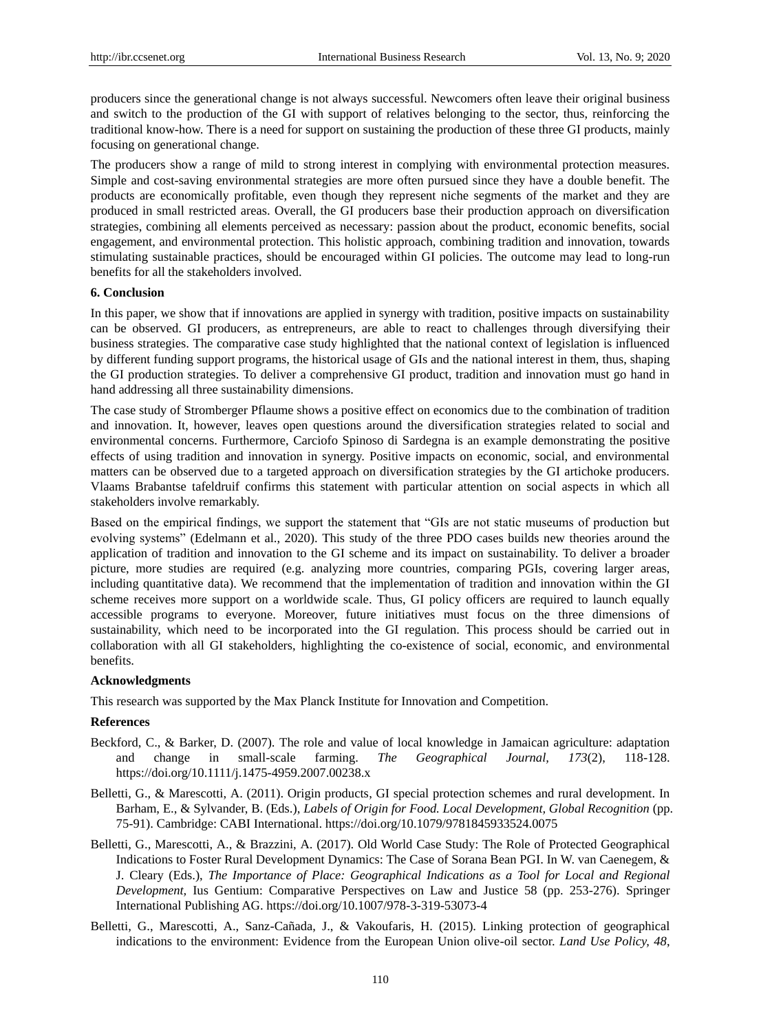producers since the generational change is not always successful. Newcomers often leave their original business and switch to the production of the GI with support of relatives belonging to the sector, thus, reinforcing the traditional know-how. There is a need for support on sustaining the production of these three GI products, mainly focusing on generational change.

The producers show a range of mild to strong interest in complying with environmental protection measures. Simple and cost-saving environmental strategies are more often pursued since they have a double benefit. The products are economically profitable, even though they represent niche segments of the market and they are produced in small restricted areas. Overall, the GI producers base their production approach on diversification strategies, combining all elements perceived as necessary: passion about the product, economic benefits, social engagement, and environmental protection. This holistic approach, combining tradition and innovation, towards stimulating sustainable practices, should be encouraged within GI policies. The outcome may lead to long-run benefits for all the stakeholders involved.

## **6. Conclusion**

In this paper, we show that if innovations are applied in synergy with tradition, positive impacts on sustainability can be observed. GI producers, as entrepreneurs, are able to react to challenges through diversifying their business strategies. The comparative case study highlighted that the national context of legislation is influenced by different funding support programs, the historical usage of GIs and the national interest in them, thus, shaping the GI production strategies. To deliver a comprehensive GI product, tradition and innovation must go hand in hand addressing all three sustainability dimensions.

The case study of Stromberger Pflaume shows a positive effect on economics due to the combination of tradition and innovation. It, however, leaves open questions around the diversification strategies related to social and environmental concerns. Furthermore, Carciofo Spinoso di Sardegna is an example demonstrating the positive effects of using tradition and innovation in synergy. Positive impacts on economic, social, and environmental matters can be observed due to a targeted approach on diversification strategies by the GI artichoke producers. Vlaams Brabantse tafeldruif confirms this statement with particular attention on social aspects in which all stakeholders involve remarkably.

Based on the empirical findings, we support the statement that "GIs are not static museums of production but evolving systems" (Edelmann et al., 2020). This study of the three PDO cases builds new theories around the application of tradition and innovation to the GI scheme and its impact on sustainability. To deliver a broader picture, more studies are required (e.g. analyzing more countries, comparing PGIs, covering larger areas, including quantitative data). We recommend that the implementation of tradition and innovation within the GI scheme receives more support on a worldwide scale. Thus, GI policy officers are required to launch equally accessible programs to everyone. Moreover, future initiatives must focus on the three dimensions of sustainability, which need to be incorporated into the GI regulation. This process should be carried out in collaboration with all GI stakeholders, highlighting the co-existence of social, economic, and environmental benefits.

#### **Acknowledgments**

This research was supported by the Max Planck Institute for Innovation and Competition.

#### **References**

- Beckford, C., & Barker, D. (2007). The role and value of local knowledge in Jamaican agriculture: adaptation and change in small-scale farming. *The Geographical Journal, 173*(2), 118-128. https://doi.org/10.1111/j.1475-4959.2007.00238.x
- Belletti, G., & Marescotti, A. (2011). Origin products, GI special protection schemes and rural development. In Barham, E., & Sylvander, B. (Eds.), *Labels of Origin for Food. Local Development, Global Recognition* (pp. 75-91). Cambridge: CABI International. https://doi.org/10.1079/9781845933524.0075
- Belletti, G., Marescotti, A., & Brazzini, A. (2017). Old World Case Study: The Role of Protected Geographical Indications to Foster Rural Development Dynamics: The Case of Sorana Bean PGI. In W. van Caenegem, & J. Cleary (Eds.), *The Importance of Place: Geographical Indications as a Tool for Local and Regional Development,* Ius Gentium: Comparative Perspectives on Law and Justice 58 (pp. 253-276). Springer International Publishing AG. https://doi.org/10.1007/978-3-319-53073-4
- Belletti, G., Marescotti, A., Sanz-Cañada, J., & Vakoufaris, H. (2015). Linking protection of geographical indications to the environment: Evidence from the European Union olive-oil sector. *Land Use Policy, 48*,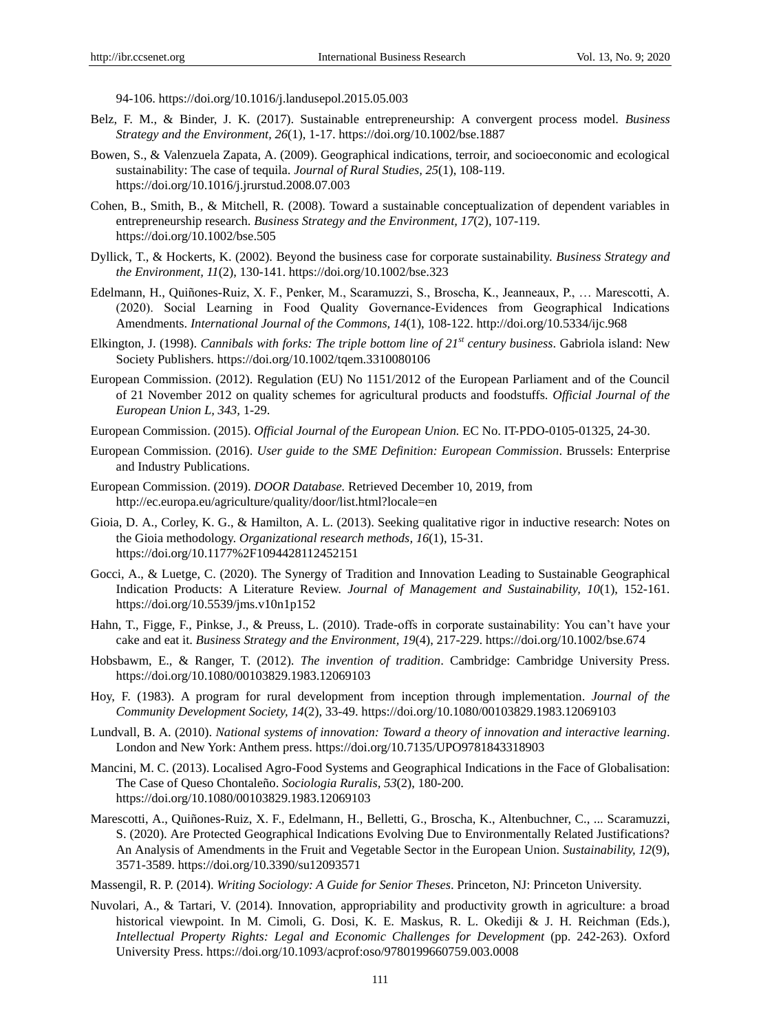94-106.<https://doi.org/10.1016/j.landusepol.2015.05.003>

- Belz, F. M., & Binder, J. K. (2017). Sustainable entrepreneurship: A convergent process model. *Business Strategy and the Environment, 26*(1), 1-17.<https://doi.org/10.1002/bse.1887>
- Bowen, S., & Valenzuela Zapata, A. (2009). Geographical indications, terroir, and socioeconomic and ecological sustainability: The case of tequila. *Journal of Rural Studies, 25*(1), 108-119. <https://doi.org/10.1016/j.jrurstud.2008.07.003>
- Cohen, B., Smith, B., & Mitchell, R. (2008). Toward a sustainable conceptualization of dependent variables in entrepreneurship research. *Business Strategy and the Environment, 17*(2), 107-119. <https://doi.org/10.1002/bse.505>
- Dyllick, T., & Hockerts, K. (2002). Beyond the business case for corporate sustainability. *Business Strategy and the Environment, 11*(2), 130-141.<https://doi.org/10.1002/bse.323>
- Edelmann, H., Quiñones-Ruiz, X. F., Penker, M., Scaramuzzi, S., Broscha, K., Jeanneaux, P., … Marescotti, A. (2020). Social Learning in Food Quality Governance‐Evidences from Geographical Indications Amendments. *International Journal of the Commons, 14*(1), 108-122.<http://doi.org/10.5334/ijc.968>
- Elkington, J. (1998). *Cannibals with forks: The triple bottom line of 21st century business*. Gabriola island: New Society Publishers. https://doi.org/10.1002/tqem.3310080106
- European Commission. (2012). Regulation (EU) No 1151/2012 of the European Parliament and of the Council of 21 November 2012 on quality schemes for agricultural products and foodstuffs. *Official Journal of the European Union L, 343,* 1-29.
- European Commission. (2015). *Official Journal of the European Union.* EC No. IT-PDO-0105-01325, 24-30.
- European Commission. (2016). *User guide to the SME Definition: European Commission*. Brussels: Enterprise and Industry Publications.
- European Commission. (2019). *DOOR Database.* Retrieved December 10, 2019, from http://ec.europa.eu/agriculture/quality/door/list.html?locale=en
- Gioia, D. A., Corley, K. G., & Hamilton, A. L. (2013). Seeking qualitative rigor in inductive research: Notes on the Gioia methodology. *Organizational research methods, 16*(1), 15-31. <https://doi.org/10.1177%2F1094428112452151>
- Gocci, A., & Luetge, C. (2020). The Synergy of Tradition and Innovation Leading to Sustainable Geographical Indication Products: A Literature Review. *Journal of Management and Sustainability, 10*(1), 152-161. <https://doi.org/10.5539/jms.v10n1p152>
- Hahn, T., Figge, F., Pinkse, J., & Preuss, L. (2010). Trade-offs in corporate sustainability: You can't have your cake and eat it. *Business Strategy and the Environment, 19*(4), 217-229.<https://doi.org/10.1002/bse.674>
- Hobsbawm, E., & Ranger, T. (2012). *The invention of tradition*. Cambridge: Cambridge University Press. <https://doi.org/10.1080/00103829.1983.12069103>
- Hoy, F. (1983). A program for rural development from inception through implementation. *Journal of the Community Development Society, 14*(2), 33-49.<https://doi.org/10.1080/00103829.1983.12069103>
- Lundvall, B. A. (2010). *National systems of innovation: Toward a theory of innovation and interactive learning*. London and New York: Anthem press.<https://doi.org/10.7135/UPO9781843318903>
- Mancini, M. C. (2013). Localised Agro-Food Systems and Geographical Indications in the Face of Globalisation: The Case of Queso Chontaleño. *Sociologia Ruralis, 53*(2), 180-200. <https://doi.org/10.1080/00103829.1983.12069103>
- Marescotti, A., Quiñones-Ruiz, X. F., Edelmann, H., Belletti, G., Broscha, K., Altenbuchner, C., ... Scaramuzzi, S. (2020). Are Protected Geographical Indications Evolving Due to Environmentally Related Justifications? An Analysis of Amendments in the Fruit and Vegetable Sector in the European Union. *Sustainability, 12*(9), 3571-3589.<https://doi.org/10.3390/su12093571>
- Massengil, R. P. (2014). *Writing Sociology: A Guide for Senior Theses*. Princeton, NJ: Princeton University.
- Nuvolari, A., & Tartari, V. (2014). Innovation, appropriability and productivity growth in agriculture: a broad historical viewpoint. In M. Cimoli, G. Dosi, K. E. Maskus, R. L. Okediji & J. H. Reichman (Eds.), *Intellectual Property Rights: Legal and Economic Challenges for Development* (pp. 242-263). Oxford University Press[. https://doi.org/10.1093/acprof:oso/9780199660759.003.0008](https://doi.org/10.1093/acprof:oso/9780199660759.003.0008)